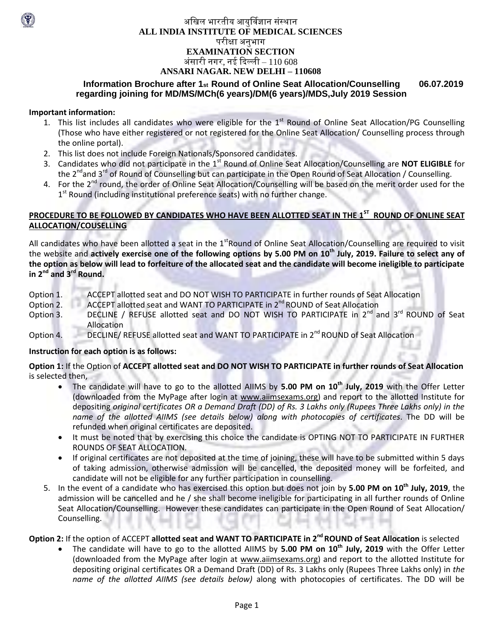## अखिल भारतीय आयुर्विज्ञान संस्थान **ALL INDIA INSTITUTE OF MEDICAL SCIENCES** परीक्षा अनुभाग **EXAMINATION SECTION** अंसारी नगर, नई दिल्ली –  $110\,608$ **ANSARI NAGAR, NEW DELHI – 110608**

#### **Information Brochure after 1st Round of Online Seat Allocation/Counselling 06.07.2019 regarding joining for MD/MS/MCh(6 years)/DM(6 years)/MDS,July 2019 Session**

#### **Important information:**

- 1. This list includes all candidates who were eligible for the  $1<sup>st</sup>$  Round of Online Seat Allocation/PG Counselling (Those who have either registered or not registered for the Online Seat Allocation/ Counselling process through the online portal).
- 2. This list does not include Foreign Nationals/Sponsored candidates.
- 3. Candidates who did not participate in the 1<sup>st</sup> Round of Online Seat Allocation/Counselling are **NOT ELIGIBLE** for the 2<sup>nd</sup>and 3<sup>rd</sup> of Round of Counselling but can participate in the Open Round of Seat Allocation / Counselling.
- 4. For the 2<sup>nd</sup> round, the order of Online Seat Allocation/Counselling will be based on the merit order used for the 1<sup>st</sup> Round (including institutional preference seats) with no further change.

#### **PROCEDURE TO BE FOLLOWED BY CANDIDATES WHO HAVE BEEN ALLOTTED SEAT IN THE 1ST ROUND OF ONLINE SEAT ALLOCATION/COUSELLING**

All candidates who have been allotted a seat in the 1<sup>st</sup>Round of Online Seat Allocation/Counselling are required to visit the website and a**ctively exercise one of the following options by 5.00 PM on 10<sup>th</sup> July, 2019. Failure to select any of the option as below will lead to forfeiture of the allocated seat and the candidate will become ineligible to participate in 2nd and 3rd Round.**

- Option 1. ACCEPT allotted seat and DO NOT WISH TO PARTICIPATE in further rounds of Seat Allocation
- Option 2. ACCEPT allotted seat and WANT TO PARTICIPATE in 2<sup>nd</sup> ROUND of Seat Allocation
- Option 3. DECLINE / REFUSE allotted seat and DO NOT WISH TO PARTICIPATE in 2<sup>nd</sup> and 3<sup>rd</sup> ROUND of Seat Allocation
- Option 4. DECLINE/ REFUSE allotted seat and WANT TO PARTICIPATE in 2<sup>nd</sup> ROUND of Seat Allocation

#### **Instruction for each option is as follows:**

**Option 1:** If the Option of **ACCEPT allotted seat and DO NOT WISH TO PARTICIPATE in further rounds of Seat Allocation**  is selected then,

- The candidate will have to go to the allotted AIIMS by **5.00 PM on 10 th July, 2019** with the Offer Letter (downloaded from the MyPage after login at [www.aiimsexams.org\)](http://www.aiimsexams.org/) and report to the allotted Institute for depositing *original certificates OR a Demand Draft (DD) of Rs. 3 Lakhs only (Rupees Three Lakhs only) in the name of the allotted AIIMS (see details below) along with photocopies of certificates*. The DD will be refunded when original certificates are deposited.
- It must be noted that by exercising this choice the candidate is OPTING NOT TO PARTICIPATE IN FURTHER ROUNDS OF SEAT ALLOCATION.
- If original certificates are not deposited at the time of joining, these will have to be submitted within 5 days of taking admission, otherwise admission will be cancelled, the deposited money will be forfeited, and candidate will not be eligible for any further participation in counselling.
- 5. In the event of a candidate who has exercised this option but does not join by **5.00 PM on 10 th July, 2019**, the admission will be cancelled and he / she shall become ineligible for participating in all further rounds of Online Seat Allocation/Counselling. However these candidates can participate in the Open Round of Seat Allocation/ Counselling.

# **Option 2:** If the option of ACCEPT **allotted seat and WANT TO PARTICIPATE in 2 ndROUND of Seat Allocation** is selected

 The candidate will have to go to the allotted AIIMS by **5.00 PM on 10 th July, 2019** with the Offer Letter (downloaded from the MyPage after login at [www.aiimsexams.org\)](http://www.aiimsexams.org/) and report to the allotted Institute for depositing original certificates OR a Demand Draft (DD) of Rs. 3 Lakhs only (Rupees Three Lakhs only) in *the name of the allotted AIIMS (see details below)* along with photocopies of certificates. The DD will be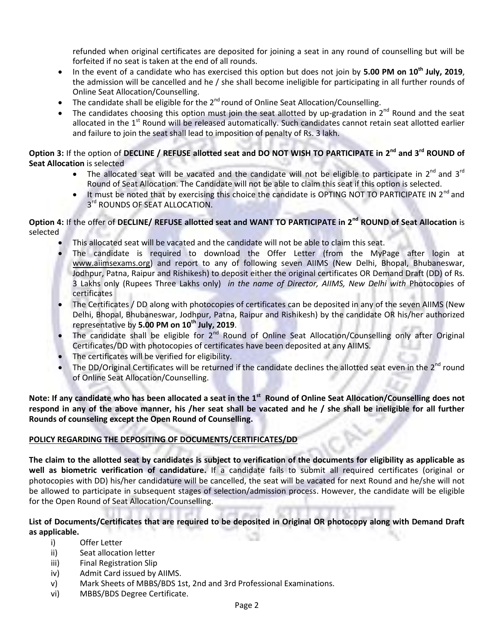refunded when original certificates are deposited for joining a seat in any round of counselling but will be forfeited if no seat is taken at the end of all rounds.

- In the event of a candidate who has exercised this option but does not join by 5.00 PM on 10<sup>th</sup> July, 2019, the admission will be cancelled and he / she shall become ineligible for participating in all further rounds of Online Seat Allocation/Counselling.
- The candidate shall be eligible for the 2<sup>nd</sup> round of Online Seat Allocation/Counselling.
- The candidates choosing this option must join the seat allotted by up-gradation in  $2^{nd}$  Round and the seat allocated in the 1<sup>st</sup> Round will be released automatically. Such candidates cannot retain seat allotted earlier and failure to join the seat shall lead to imposition of penalty of Rs. 3 lakh.

#### **Option 3:** If the option of **DECLINE / REFUSE allotted seat and DO NOT WISH TO PARTICIPATE in 2 nd and 3rd ROUND of Seat Allocation** is selected

- The allocated seat will be vacated and the candidate will not be eligible to participate in  $2^{nd}$  and  $3^{rd}$ Round of Seat Allocation. The Candidate will not be able to claim this seat if this option is selected.
- It must be noted that by exercising this choice the candidate is OPTING NOT TO PARTICIPATE IN 2<sup>nd</sup> and 3<sup>rd</sup> ROUNDS OF SEAT ALLOCATION.

## **Option 4:** If the offer of **DECLINE/ REFUSE allotted seat and WANT TO PARTICIPATE in 2nd ROUND of Seat Allocation** is selected

- This allocated seat will be vacated and the candidate will not be able to claim this seat.
- The candidate is required to download the Offer Letter (from the MyPage after login at [www.aiimsexams.org\)](http://www.aiimsexams.org/) and report to any of following seven AIIMS (New Delhi, Bhopal, Bhubaneswar, Jodhpur, Patna, Raipur and Rishikesh) to deposit either the original certificates OR Demand Draft (DD) of Rs. 3 Lakhs only (Rupees Three Lakhs only) *in the name of Director, AIIMS, New Delhi with* Photocopies of certificates
- The Certificates / DD along with photocopies of certificates can be deposited in any of the seven AIIMS (New Delhi, Bhopal, Bhubaneswar, Jodhpur, Patna, Raipur and Rishikesh) by the candidate OR his/her authorized representative by **5.00 PM on 10 th July, 2019**.
- The candidate shall be eligible for 2<sup>nd</sup> Round of Online Seat Allocation/Counselling only after Original Certificates/DD with photocopies of certificates have been deposited at any AIIMS.
- The certificates will be verified for eligibility.
- The DD/Original Certificates will be returned if the candidate declines the allotted seat even in the 2<sup>nd</sup> round of Online Seat Allocation/Counselling.

Note: If any candidate who has been allocated a seat in the 1<sup>st</sup> Round of Online Seat Allocation/Counselling does not **respond in any of the above manner, his /her seat shall be vacated and he / she shall be ineligible for all further Rounds of counseling except the Open Round of Counselling.**

## **POLICY REGARDING THE DEPOSITING OF DOCUMENTS/CERTIFICATES/DD**

**The claim to the allotted seat by candidates is subject to verification of the documents for eligibility as applicable as well as biometric verification of candidature.** If a candidate fails to submit all required certificates (original or photocopies with DD) his/her candidature will be cancelled, the seat will be vacated for next Round and he/she will not be allowed to participate in subsequent stages of selection/admission process. However, the candidate will be eligible for the Open Round of Seat Allocation/Counselling.

## **List of Documents/Certificates that are required to be deposited in Original OR photocopy along with Demand Draft as applicable.**

- i) Offer Letter
- ii) Seat allocation letter
- iii) Final Registration Slip
- iv) Admit Card issued by AIIMS.
- v) Mark Sheets of MBBS/BDS 1st, 2nd and 3rd Professional Examinations.
- vi) MBBS/BDS Degree Certificate.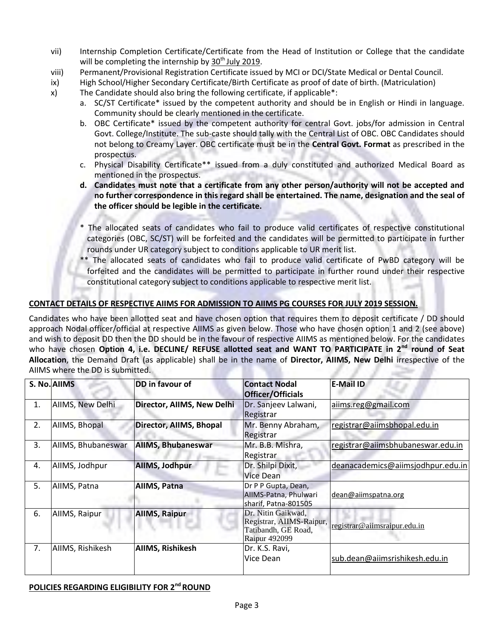- vii) Internship Completion Certificate/Certificate from the Head of Institution or College that the candidate will be completing the internship by  $30<sup>th</sup>$  July 2019.
- viii) Permanent/Provisional Registration Certificate issued by MCI or DCI/State Medical or Dental Council.
- ix) High School/Higher Secondary Certificate/Birth Certificate as proof of date of birth. (Matriculation)
- x) The Candidate should also bring the following certificate, if applicable\*:
	- a. SC/ST Certificate\* issued by the competent authority and should be in English or Hindi in language. Community should be clearly mentioned in the certificate.
	- b. OBC Certificate\* issued by the competent authority for central Govt. jobs/for admission in Central Govt. College/Institute. The sub-caste should tally with the Central List of OBC. OBC Candidates should not belong to Creamy Layer. OBC certificate must be in the **Central Govt. Format** as prescribed in the prospectus.
	- c. Physical Disability Certificate\*\* issued from a duly constituted and authorized Medical Board as mentioned in the prospectus.
	- **d. Candidates must note that a certificate from any other person/authority will not be accepted and no further correspondence in this regard shall be entertained. The name, designation and the seal of the officer should be legible in the certificate.**
	- \* The allocated seats of candidates who fail to produce valid certificates of respective constitutional categories (OBC, SC/ST) will be forfeited and the candidates will be permitted to participate in further rounds under UR category subject to conditions applicable to UR merit list.
	- \*\* The allocated seats of candidates who fail to produce valid certificate of PwBD category will be forfeited and the candidates will be permitted to participate in further round under their respective constitutional category subject to conditions applicable to respective merit list.

## **CONTACT DETAILS OF RESPECTIVE AIIMS FOR ADMISSION TO AIIMS PG COURSES FOR JULY 2019 SESSION.**

Candidates who have been allotted seat and have chosen option that requires them to deposit certificate / DD should approach Nodal officer/official at respective AIIMS as given below. Those who have chosen option 1 and 2 (see above) and wish to deposit DD then the DD should be in the favour of respective AIIMS as mentioned below. For the candidates who have chosen **Option 4, i.e. DECLINE/ REFUSE allotted seat and WANT TO PARTICIPATE in 2nd round of Seat Allocation**, the Demand Draft (as applicable) shall be in the name of **Director, AIIMS, New Delhi** irrespective of the AIIMS where the DD is submitted.

|    | S. No. AllMS       | DD in favour of            | <b>Contact Nodal</b><br>Officer/Officials                                                     | <b>E-Mail ID</b>                  |
|----|--------------------|----------------------------|-----------------------------------------------------------------------------------------------|-----------------------------------|
| 1. | AIIMS, New Delhi   | Director, AIIMS, New Delhi | Dr. Sanjeev Lalwani,<br>Registrar                                                             | aiims.reg@gmail.com               |
| 2. | AIIMS, Bhopal      | Director, AllMS, Bhopal    | Mr. Benny Abraham,<br>Registrar                                                               | registrar@aiimsbhopal.edu.in      |
| 3. | AIIMS, Bhubaneswar | <b>AIIMS, Bhubaneswar</b>  | Mr. B.B. Mishra,<br>Registrar                                                                 | registrar@aiimsbhubaneswar.edu.in |
| 4. | AllMS, Jodhpur     | AllMS, Jodhpur             | Dr. Shilpi Dixit,<br>Vice Dean                                                                | deanacademics@aiimsjodhpur.edu.in |
| 5. | AIIMS, Patna       | AllMS, Patna               | Dr P P Gupta, Dean,<br>AIIMS-Patna, Phulwari<br>sharif, Patna-801505                          | dean@aiimspatna.org               |
| 6. | AllMS, Raipur      | <b>AIIMS, Raipur</b>       | Dr. Nitin Gaikwad,<br>Registrar, AIIMS-Raipur,<br>Tatibandh, GE Road,<br><b>Raipur 492099</b> | registrar@aiimsraipur.edu.in      |
| 7. | AIIMS, Rishikesh   | <b>AIIMS, Rishikesh</b>    | Dr. K.S. Ravi,<br>Vice Dean                                                                   | sub.dean@aiimsrishikesh.edu.in    |

#### **POLICIES REGARDING ELIGIBILITY FOR 2ndROUND**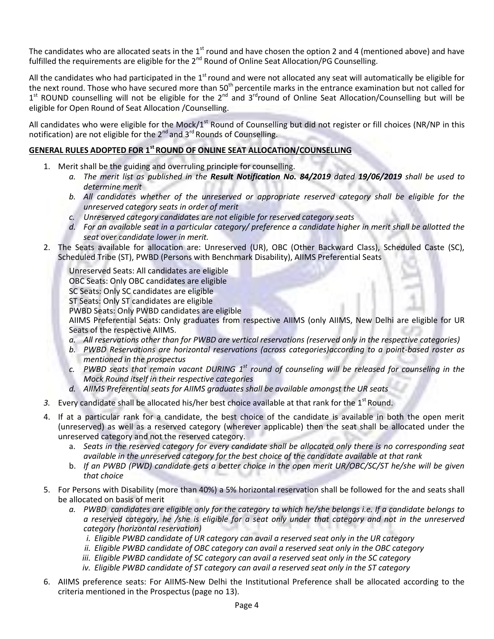The candidates who are allocated seats in the  $1<sup>st</sup>$  round and have chosen the option 2 and 4 (mentioned above) and have fulfilled the requirements are eligible for the 2<sup>nd</sup> Round of Online Seat Allocation/PG Counselling.

All the candidates who had participated in the 1<sup>st</sup> round and were not allocated any seat will automatically be eligible for the next round. Those who have secured more than 50<sup>th</sup> percentile marks in the entrance examination but not called for 1<sup>st</sup> ROUND counselling will not be eligible for the 2<sup>nd</sup> and 3<sup>rd</sup>round of Online Seat Allocation/Counselling but will be eligible for Open Round of Seat Allocation /Counselling.

All candidates who were eligible for the Mock/ $1^{st}$  Round of Counselling but did not register or fill choices (NR/NP in this notification) are not eligible for the  $2^{nd}$  and  $3^{rd}$  Rounds of Counselling.

## **GENERAL RULES ADOPTED FOR 1stROUND OF ONLINE SEAT ALLOCATION/COUNSELLING**

- 1. Merit shall be the guiding and overruling principle for counselling.
	- *a. The merit list as published in the Result Notification No. 84/2019 dated 19/06/2019 shall be used to determine merit*
	- *b. All candidates whether of the unreserved or appropriate reserved category shall be eligible for the unreserved category seats in order of merit*
	- *c. Unreserved category candidates are not eligible for reserved category seats*
	- *d. For an available seat in a particular category/ preference a candidate higher in merit shall be allotted the seat over candidate lower in merit.*
- 2. The Seats available for allocation are: Unreserved (UR), OBC (Other Backward Class), Scheduled Caste (SC), Scheduled Tribe (ST), PWBD (Persons with Benchmark Disability), AIIMS Preferential Seats

Unreserved Seats: All candidates are eligible

OBC Seats: Only OBC candidates are eligible

SC Seats: Only SC candidates are eligible

ST Seats: Only ST candidates are eligible

PWBD Seats: Only PWBD candidates are eligible

AIIMS Preferential Seats: Only graduates from respective AIIMS (only AIIMS, New Delhi are eligible for UR Seats of the respective AIIMS.

- *a. All reservations other than for PWBD are vertical reservations (reserved only in the respective categories)*
- *b. PWBD Reservations are horizontal reservations (across categories)according to a point-based roster as mentioned in the prospectus*
- *c. PWBD seats that remain vacant DURING 1 st round of counseling will be released for counseling in the Mock Round itself in their respective categories*
- *d. AIIMS Preferential seats for AIIMS graduates shall be available amongst the UR seats*
- 3. Every candidate shall be allocated his/her best choice available at that rank for the 1<sup>st</sup> Round.
- 4. If at a particular rank for a candidate, the best choice of the candidate is available in both the open merit (unreserved) as well as a reserved category (wherever applicable) then the seat shall be allocated under the unreserved category and not the reserved category.
	- a. *Seats in the reserved category for every candidate shall be allocated only there is no corresponding seat available in the unreserved category for the best choice of the candidate available at that rank*
	- b. *If an PWBD (PWD) candidate gets a better choice in the open merit UR/OBC/SC/ST he/she will be given that choice*
- 5. For Persons with Disability (more than 40%) a 5% horizontal reservation shall be followed for the and seats shall be allocated on basis of merit
	- *a. PWBD candidates are eligible only for the category to which he/she belongs i.e. If a candidate belongs to a reserved category, he /she is eligible for a seat only under that category and not in the unreserved category (horizontal reservation)* 
		- *i. Eligible PWBD candidate of UR category can avail a reserved seat only in the UR category*
		- *ii. Eligible PWBD candidate of OBC category can avail a reserved seat only in the OBC category*
		- *iii. Eligible PWBD candidate of SC category can avail a reserved seat only in the SC category*
		- *iv. Eligible PWBD candidate of ST category can avail a reserved seat only in the ST category*
- 6. AIIMS preference seats: For AIIMS-New Delhi the Institutional Preference shall be allocated according to the criteria mentioned in the Prospectus (page no 13).